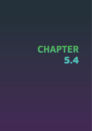# **CHAPTER**  5.4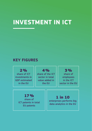# **INVESTMENT IN ICT**

# **KEY FIGURES**

2% share of ICT investments in GDP estimated in the EU

4% share of the ICT sector in total value added in the EU

3% share of employees in the ICT sector in the EU

17% share of ICT patents in total EU patents

# 1 in 10

enterprises performs big data analytics in the EU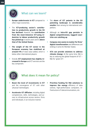# What can we learn?

- **Europe underinvests in ICT** compared to other major economies.
- The **ICT-producing sector's contribution to productivity growth in the EU has declined**. However, the **contribution from the most-intensive ICT-using industries to labour productivity growth has picked up** in recent years and is **above that of the United States**.
- **Fig. 1** The weight of the ICT sector in the **European economy has stabilised at around 4%** of total value added, which is below other international players.
- **Overall. ICT employment has slightly increased in Europe** and ICT services are the key component.
- **If The share of ICT patents in the EU patenting landscape is considerably smaller** than among its international competitors.
- **Although an intra-EU gap persists in digital competitiveness, laggard countries are catching up**.
- **EXECOMPANY SIZE SEEMS to matter for firms' digital transformation** and differences are striking in some EU Member States.
- **▶ ICTs can provide solutions to address climate change**. At the same time, R&I is key to reducing the global footprint of ICT – R&I for 'green ICT'.



# What does it mean for policy?

- **Boost the level of investments in ICT** and the convergence of ICT with other 'physical' technologies.
- Accelerate ICT diffusion, including digital competencies, skills, technologies, and access to infrastructure across sectors, firms and individuals, in an inclusive manner.
- ▶ **Prioritise funding for R&I solutions to improve the energy** efficiency of data centres, high-performance computers, infrastructure of telecommunications, etc.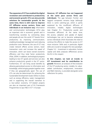**The expansion of ICT has enabled the digital revolution and contributed to productivity and economic growth. ICTs can also provide solutions for sustainable growth. At the same time, there is still room to improve ICT diffusion across sectors, firms and individuals in an inclusive way**. Information and communication technologies (ICTs) play an important role in economic growth and in transforming societies by connecting ideas and people all over the world. ICT boosts firms' productivity by improving communication, enabling knowledge management and reducing production costs. Moreover, the use of ICT may create network effects across sectors, lower transaction costs and increase the speed of innovation, which can boost overall economic efficiency and thus total factor productivity (Pilat, 2004). In addition, technological progress leading to new ICT goods and services can also enhance productivity growth in the ICT sector. Furthermore, ICT can bring social benefits by allowing generalised access to information and knowledge, while bringing people together even if they are geographically apart. The use of ICTs can also be determinant for achieving the Sustainable Development Goals (SDGs) in areas such as energy efficiency, water management and in supporting the overall transition to a low-carbon economy. ICT-related projects are also an important part of EU Framework Programmes to spur R&I in ICT $1$  in Europe.

**However, ICT diffusion has not happened at the same pace across firms and individuals**. The gap between frontier and laggard companies remains large (although there is some catching-up), which is partly explained by the insufficient diffusion of innovation, notably digital technologies (see Chapter 3.1- Productivity puzzle and innovation diffusion). At the same time, the access, adoption and uptake of digital technologies has yet to become widespread across individuals which illustrates the need to continue the efforts to make the access to ICT more inclusive. Skills and, in particular, digital skills are crucial to navigate this new paradigm. Chapter 5.2 - Investment in education, human capital and skills analyses differences across the EU in this respect.

**In this chapter, we look at trends in ICT investment and its contribution to growth**. Moreover, an analysis of the evolution of the ICT-producing sector, notably its valueadded contribution, employment, innovation and R&D intensity, is provided alongside some reflections for policy.

<sup>1</sup> https://ec.europa.eu/digital-single-market/en/research-development-scoreboard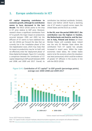#### **1. Europe underinvests in ICT**

**ICT capital deepening contributes to economic growth, although its contribution seems to have decreased in the last decade**. The OECD (2016) points to the drop in ICT price relative to GDP price. Moreover, research shows a significant contribution from ICT to growth; the major impact on productivity occurred between 1995 and 2005 but the diffusion of ICT seems to have stabilised now. van Ark (2016) put forward the idea that we currently live in the 'installation phase' of the new digitalisation wave, which may imply that its impact on productivity may be 'on hold' until we effectively enter the 'deployment phase' of these digital technologies. Figure 5.4-1 provides a comparison between the contribution of ICT capital-deepening to GDP growth between 2000 and 2008, and 2009 and 2017. Overall, its contribution has declined worldwide. Similarly, Adarov and Stehrer (2019) found a declining role of ICT assets in growth across Japan, the United States and the EU15 as a whole.

**In the EU, over the period 2009-2017, the contribution was the highest in Sweden, the Netherlands and Austria, and the lowest in Italy, Finland and Greece** (of those Member States with available data). Ireland was the only EU Member State where the contribution from ICT capital has actually increased in recent years. Within the major economies listed below, the United States seems to be the economy where the slowdown was least pronounced, which could be evidence of greater ICT diffusion in the country in line with the OECD (2016).

Figure  $5.4$ -1 Contribution of ICT capital<sup>(1)</sup> to GDP growth (percentage points), average over 2000-2008 and 2009-2017



Science, research and innovation performance of the EU 2020

Source: OECD Productivity Database

Note: <sup>(1)</sup>ICT capital includes computer hardware, telecommunications equipment, and computer and software databases. Stat. link: https://ec.europa.eu/info/sites/info/files/srip/2020/parti/chapter54/figure-54-1.xlsx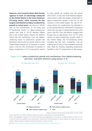**However, new research shows that Europe appears to have an advantage compared to the United States in the most-intensive ICT-using sector, which accounts for the largest contribution to labour-productivity growth in recent years**. van Ark et al. (2019) look at the contributions of ICT-using and ICT-producing sectors to labour-productivity growth over time in 19 EU Member States and in the United States. Overall, the authors found that the contribution from the digitalproducing sector to productivity growth has declined in the EU and, to a lesser extent, in the United States (Figure 5.4-2). However, in recent years in the EU, the contribution to growth in labour productivity in ICT-using sectors seems

to have picked up, notably over the period 2013-2017. In fact, the most-intensive digitalusing sectors make the largest contribution to labour-productivity growth in the EU. On the contrary, in the United States, the role of ICTusing sectors for productivity has declined in a very pronounced way, while the ICT-producing sector has not seen a marked decline (as is the case in the EU). Thus, the authors suggest that Europe has an opportunity from its ICT-using sectors to boost productivity growth while, in the United States, the ICT-producing sector, including the big 'tech' companies, may be making use of many of the available resources that could be limiting extending productivity benefits to the ICT-using sectors in the country.

#### Figure 5.4-2 Labour productivity growth and contributions from digital-producing and most- and least-intensive-using sectors, in %



Science, research and innovation performance of the EU 2020

Source: van Ark et al. (2019), Conference Board calculations using data from Eurostat; BEA; BLS Notes: <sup>(1)</sup>EU aggregate is based on 19 countries and euro area aggregate on 16 countries, as data for BG, EE, IE, HR, CY, LV, LT, LU and MT were not available for the entire period. Taxonomy for the identification of sectors defined as in Bart van Ark et al. (2019). Labour productivity growth concerns the growth of output per hour. Stat. link: https://ec.europa.eu/info/sites/info/files/srip/2020/parti/chapter54/figure-54-2.xlsx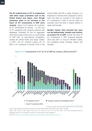**The EU underinvests in ICT in comparison with other major economies such as the United States and Japan, even though estimates point to an increase in the share of ICT investments in GDP more recently**. Figure 5.4-3 depicts the evolution of ICT investments by country – i.e. the sum of ICT equipment and computer software and databases. Estimates for the EU aggregate show that Europe invests less as a percentage of GDP than its international competitors, notably the United States and Japan. Indeed, in 2017, the EU invested around 2% of GDP in ICT compared to almost 3.5% in the

United States and 3% in Japan. However, it is important to mention that compared to 2010, there has been an increase in the share of ICT investments in GDP in the EU while, for example, there has been a relative decline in Japan and Canada.

**Member States that invested the most are the Netherlands, Sweden and Czechia, at around 4% of GDP**. Overall, the share of ICT investments in GDP increased between 2010 and 2017 in most EU Member States, the exceptions being Portugal, Greece and Slovakia.

Figure 5.4-3 Investment in ICT as % of GDP by country, 2010 and 2017



Source: OECD (Capital formation by activity ISIC Rev4) and Eurostat (online data code: nama\_10\_gdp) Notes: <sup>(1)</sup>DK: 2015. LV, NO: 2016. <sup>(2)</sup>DK, EE, EL, PL: 2015. IE, ES, LV, PT, SE, NO: 2016. <sup>(3)</sup>EU value estimated with the available countries. The number of countries is not the same in both categories. Stat. link: https://ec.europa.eu/info/sites/info/files/srip/2020/parti/chapter54/figure-54-3.xlsx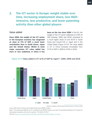# **2. The ICT sector in Europe: weight stable over time, increasing employment share, less R&Dintensive, less productive, and lower patenting activity than other global players**

#### Value added

**Since 2000, the weight of the ICT sector in the European economy has stagnated at close to 4% of GDP, a much lower contribution than in South Korea, Japan and the United States. Whilst in most major economies ICT value added has more or less stabilised, in China it has** 

**been on the rise since 2000**. In the EU, the weight of the ICT sector stabilised at 3.9% of GDP between 2000 and 2018, compared to a much higher share of over 8.5% in South Korea and around 6% in Japan and in the United States (Figure 5.4-4). The value added in ICT in China increased remarkably from 3.7% of GDP in 2000 to 4.9% in 2018.

#### Figure 5.4-4 Value added in ICT as % of GDP by region<sup>(1)</sup>, 2000, 2009 and 2018



Science, research and innovation performance of the EU 2020 Source: DESI report ICT Sector and its R&D Performance, PREDICT project Notes: (1)The operational definition of ICT, as defined in the PREDICT project, was used. The operational definition of ICT allows for international comparison with non-EU countries. <sup>(2)</sup>CN: 2016, JP: 2017.

Stat. link: https://ec.europa.eu/info/sites/info/files/srip/2020/parti/chapter54/figure-54-4.xlsx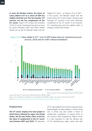**In most EU Member States, the share of value added in ICT as a share of GDP has slightly declined over the last decade. ICT services are the key components of the ICT sector**. Figure 5.4-5 shows the evolution of the ICT sector (manufacturing and services) by country between 2007 and 2018. Ireland stands out as the EU Member State with the

highest ICT share – of almost 12% of GDP – in the country. The Member States with the lowest share of ICT were Greece, Lithuania and Portugal. ICT services is the most important component of the ICT sector in all countries. ICT manufacturing had the highest share in Hungary, Ireland and Finland.

Figure 5.4-5 Value added in  $ICT^{(1)}$  as % of GDP broken down by manufacturing and services, 2018 (and for 2007 without breakdown)



Science, research and innovation performance of the EU 2020

Source: DESI report ICT Sector and its R&D Performance, PREDICT project Notes: <sup>(1)</sup>The comprehensive definition of ICT, as defined in the PREDICT project, was used. <sup>(2)</sup>IE: 2014; NO, CH: 2015. Stat. link: https://ec.europa.eu/info/sites/info/files/srip/2020/parti/chapter54/figure-54-5.xlsx

#### Employment

**The ICT sector employs the most people in South Korea, followed by Japan, the United States, the EU and, finally, China. In the EU, the share of employment in the ICT sector rose between 2007 and 2018**. The relevance

of ICT value added in the economy was previously demonstrated as being highest in South Korea and, in 2018, was also visible in terms of employment contribution of around 4.5% of the country's total employment (Figure 5.4-6). It is also important to note the relevant size of ICT manufacturing. Japan comes next with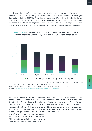slightly more than 3% of its active population employed in the ICT sector, although the share has declined relative to 2007. The United States, the EU and China have seen increases in the importance of the ICT sector in employment over the last decade. In 2018, the EU's ICT share in employment was around 2.5% compared to around 2.8% in the United States and slightly more than 2% in China. In both the EU and the United States, ICT services are the leading employer within the ICT sector, while in China, ICT manufacturing stands out as the top sector.



#### Figure 5.4-6 Employment in  $ICT^{(1)}$  as % of total employment broken down by manufacturing and services, 2018 (and for 2007 without breakdown)

Science, research and innovation performance of the EU 2020

Source: DESI report ICT Sector and its R&D Performance, PREDICT project Notes: <sup>(1)</sup>The operational definition of ICT, as defined in the PREDICT project, was used. <sup>(2)</sup>CN: 2016; JP: 2017. Stat. link: https://ec.europa.eu/info/sites/info/files/srip/2020/parti/chapter54/figure-54-6.xlsx

**Employment in the ICT sector increased in most EU Member States between 2007 and 2018**. Malta, Estonia, Hungary, Luxembourg and Ireland have the highest shares of ICT employment, at above 4% of total employment (Figure 5.4-7). On the other hand, in 2018, in Greece, Portugal, Lithuania and Belgium the role of the ICT sector in employment was the

lowest, with less than 2.5% of employment. This is partly correlated with the economic structure, as previously noted that the size of the ICT sector in terms of value added in these economies was also smaller in relative terms. With the exception of Ireland, Finland, Sweden, Denmark and Belgium, all the other EU Member States maintained or even increased their employment shares in the ICT sector between 2007 and 2018.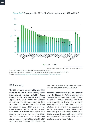

Figure 5.4-7 Employment in  $ICT^{(1)}$  as % of total employment, 2007 and 2018

Science, research and innovation performance of the EU 2020

Source: DESI report ICT Sector and its R&D Performance, PREDICT project Notes: <sup>(1)</sup>The comprehensive definition of ICT, as defined in the PREDICT project, was used. <sup>(2)</sup>NO, CH: 2016. Stat. link: https://ec.europa.eu/info/sites/info/files/srip/2020/parti/chapter54/figure-54-7.xlsx

#### R&D intensity

**The ICT sector is considerably less R&D intensive in the EU than among other international players, notably South Korea but also the United States and Japan**. Figure 5.4-8 presents the evolution of business enterprise expenditure on R&D as a percentage of the value added of the ICT sector in 2000, 2007 and 2018 by major economy. The ICT sector is the most R&D intensive in South Korea where R&D intensity has been on the rise since 2000. The United States comes next, also showing slight increases in the R&D intensity of the ICT sector over time. In Japan, R&D intensity has

been on the decline since 2000, although it was still above that of the EU in 2018.

**In the EU, the R&D intensity of the ICT sector was the highest in Finland, Austria and Sweden**. 'Innovation leaders', namely Finland, Sweden and Denmark, and 'strong innovators', such as Austria and France, rank highest in terms of their ICT industries' R&D intensity in 2018. At the lower end of the spectrum are Latvia, Luxembourg, Croatia, Lithuania and Romania (Figure 5.4-9). Norway stands out an H2020 associated country with a very high R&D intensity in the ICT sector (for which data are available), close to that of Finland.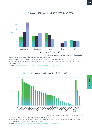

#### Figure 5.4-8 Business R&D intensity of ICT<sup>(1)</sup>, 2000, 2007, 2018

Science, research and innovation performance of the EU 2020

Source: DESI report ICT Sector and its R&D Performance, PREDICT project

Notes: (1)Business enterprise expenditure on R&D as% of value added. The operational definition of ICT, as defined in the PREDICT project, was used. The operational definition of ICT allows for international comparison with non-EU countries. (2)CN: 2016; JP: 2017.

Stat. link: https://ec.europa.eu/info/sites/info/files/srip/2020/parti/chapter54/figure-54-8.xlsx



#### Figure 5.4-9 Business R&D intensity of  $ICT^{(1)}$ , 2018<sup>(2)</sup>

Science, research and innovation performance of the EU 2020

Source: DESI report ICT Sector and its R&D Performance, PREDICT project Notes: (1)Business enterprise expenditure on R&D as% of value added. The comprehensive definition of ICT, as defined in the PREDICT project, was used. (2)CH: 2015; IE: 2014; NO: 2016.

Stat. link: https://ec.europa.eu/info/sites/info/files/srip/2020/parti/chapter54/figure-54-9.xlsx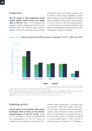**The ICT sector is more productive in the United States, South Korea and Japan than in the EU**. Figure 5.4-10 compares the evolution of labour productivity in the ICT sector between 2007 and 2018 by major economy. Relative to 2007, all economies have increased productivity levels in this sector, except for the EU where it seems to have stabilised. In 2018, labour productivity was the highest in the United States, followed by South Korea, Japan, and the EU. China seems to have the least-productive ICT sector (from the economies presented in the graph) even though labour productivity has risen considerably in just over a decade.





Science, research and innovation performance of the EU 2020

Source: DESI report ICT Sector and its R&D Performance, PREDICT project Notes: <sup>(1)</sup>GDP per person employed in current PPS€. <sup>(2)</sup>The operational definition of ICT, as defined in the PREDICT project, was used. The operational defintion of ICT allows for international comparison with non-EU countries. <sup>(3)</sup>CN: 2016; JP: 2017. Stat. link: https://ec.europa.eu/info/sites/info/files/srip/2020/parti/chapter54/figure-54-10.xlsx

#### Patenting activity

**The EU seems to trail behind other major economies when it comes to the relative innovativeness of the ICT sector**. Figure 5.4-11 illustrates a means of representing the innovativeness of the ICT sector by looking into the evolution of the share of ICT-

related patent applications, although there are certainly other ways. Major economies, such as China, South Korea, the United States, Canada, India and Japan, clearly outperform the EU in this respect. For example, 52 % of Chinese patents were ICT-related, compared to a much lower share of 17 % in the EU in 2016. Moreover, the share of ICT patents in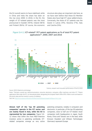the EU overall seems to have stabilised, while in China and India the share has been on the rise since 2000. In 2016, in the EU, the weight of ICT-related patents was the most pronounced in Sweden (43 %), Ireland (36 %) and Finland (36 %). Of course, the economic

structure also plays an important role here, as we have seen before that these EU Member States also have high ICT value-added shares. Conversely, the share of ICT patents was the lowest in Latvia (4 %), Slovenia (7 %), Italy and Czechia (9 %).

Figure 5.4-11 ICT-related<sup>(1)</sup> PCT patent applications as % of total PCT patent applications(2), 2000, 2007 and 2016



Science, research and innovation performance of the EU 2020

Source: OECD (Patents by technology)

Notes: <sup>(1)</sup>Domains covered are: telecommunications, consumer electronics, computers, office machinery, and other ICT. <sup>(2)</sup>Patent applications filed under the PCT, at international phase, designating the European Patent Office (EPO). Patent counts are based on the priority data and the inventor's country of residence.

Stat. link: https://ec.europa.eu/info/sites/info/files/srip/2020/parti/chapter54/figure-54-11.xlsx

**Almost half of the 'top 50 patenting companies' operate in the ICT sector and are mainly found in Asia, while the EU is represented by two companies**. Figure 5.4- 12 shows that within the most R&D-intensive investors active in patenting worldwide, ICTrelated companies emerge as very active

patenting companies, notably in computers and electronics. In particular, of the top 50 patenting companies, close to half are ICT-related. Asian companies (with headquarters in Japan, South Korea, China and Taiwan) are in the lead, while Ericsson (Sweden) and Infineon Technologies (Germany) represent Europe.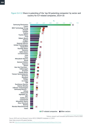



Science, research and innovation performance of the EU 2020

Source: OECD and Joint Research Centre-OECD, COR&DIP© database v.2., 2019 Note: Data concerns IP5 patent families. Stat. link: https://ec.europa.eu/info/sites/info/files/srip/2020/parti/chapter54/figure-54-12.xlsx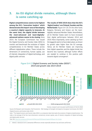# **3. An EU digital divide remains, although there is some catching up**

**Digital competitiveness seems to be highest among the EU's 'innovation leaders' which demonstrates the import-ance of developing a country's digital capacity to innovate. At the same time, the digital divide between the most-advanced and least-digitallyadvanced nations seems to be closing**. Since 2014, the European Commission has issued the Digital Economy and Society Index (DESI) to monitor and benchmark the evolution of digital competitiveness in EU Member States across different digitalisation pillars. These include the dimensions of connectivity, human capital, use of internet, integration of digital technology, and digital public services.

**The results of DESI 2019 show that the EU's 'digital leaders' are Finland, Sweden and the Netherlands** (Figure 5.4-13). On the other hand, Bulgaria, Romania and Greece are the leastdigitally-advanced Member States. Nevertheless, all EU Member States seem to have increased their digital performance between 2014 and 2019. More importantly, some catching-up from the laggards seems to have taken place, as shown by growth rates higher than the EU average. Hence, all EU Member States are improving their digital capacities and the digital divide has become less nuanced, although further efforts are needed to continue in this positive path towards digital convergence<sup>2</sup>. .



#### Figure 5.4-13 Digital Economy and Society Index (DESI) $<sup>(1)</sup>$ ,</sup> 2019 and growth rate 2014-2019

Science, research and innovation performance of the EU 2020

Source: DG Research and Innovation, Chief Economist - R&I Strategy & Foresight Unit based on European Commission, DG CNECT (Digital Economy and Society Index 2019)

Note: (1)The Digital Economy and Society Index (DESI) is a composite index that tracks the evolution of digital competitiveness. The index is the average of the five main dimensions: connectivity, human capital, uses of internet, integration of digital technology, and digital public services.

Stat. link: https://ec.europa.eu/info/sites/info/files/srip/2020/parti/chapter54/figure-54-13.xlsx

2 Indeed, in absolute terms substantial differences remain especially between top and lower performers.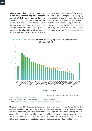**Slightly more than 1 in 10 enterprises in the EU performed big data analyses as part of their work. However, in some countries, the gap in the uptake of this practice by firm size is considerable**. Due to the huge amounts of data created every day, companies often need to have the capacity to process all the information produced digitally. Big data is usually characterised by its '3 Vs' –

namely, *volume*, *variety* and *velocity*. Overall, the percentage of enterprises performing big data analytics increased in most EU Member States between 2016 and 2018 (Figure 5.4-14). In Malta, the Netherlands, Belgium and Ireland, 20% or more of all enterprises performed some sort of big data analysis, while in Cyprus, Austria and Hungary, less than 7% of enterprises did so.



Figure 5.4-14 Share of enterprises analysing big data in total enterprises<sup>(1)</sup>, 2016 and 2018

Science, research and innovation performance of the EU 2020

Source: Eurostat (online data code: isoc\_eb\_bd)

Note: (1)All enterprises, without the financial sector (10 or more people employed). Stat. link: https://ec.europa.eu/info/sites/info/files/srip/2020/parti/chapter54/figure-54-14.xlsx

**There are intra-EU differences in terms of big data uptake by firm size**. Figure 5.4-15 depicts the difference by firm size in terms of the uptake of big data by country. While in Greece and Hungary there is not a very substantial difference in the use of big data by large, medium

and small firms, in most Member States, big data practices seem less diffused across firms with large companies clearly making more use of big data analytics than medium-sized and, in particular, small firms. This is particularly true in countries such as Belgium and Denmark.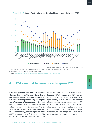

Figure 5.4-15 Share of enterprises<sup>(1)</sup> performing big data analysis by size, 2018

Science, research and innovation performance of the EU 2020

Source: OECD (2019) "Measuring the digital transformation" and Eurostat (online data code: isoc\_eb\_bd) Notes: (1)Enterprises without financial sector. (2)UK: 2016.

Stat. link: https://ec.europa.eu/info/sites/info/files/srip/2020/parti/chapter54/figure-54-15.xlsx

# **4. R&I essential to move towards 'green ICT'**

**ICTs can provide solutions to address climate change. At the same time, there is a need to reduce the global footprint of ICT which is being fostered by the digital transformation of the economy**. In its 2009 Recommendation<sup>3</sup>, the European Commission outlines a framework to 'mobilise ICTs to facilitate the transition to an energy-efficient, low-carbon economy', considering the potential of ICT to enhance energy efficiency. Indeed, ICTs can act as enablers of a low- (or even zero-)

carbon economy. The Global e-Sustainability Initiative (2015) argues that ICT has the potential to cut global carbon emissions by approximately 15% by promoting the efficiency of processes and energy use. As a result, ICTs can enable the 'smartification' of many aspects of our economies – i.e. smart cities, smart grids, smart mobility, smart governments, smart businesses, smart buildings, etc. – which reduce the environmental impact across sectors.

<sup>3</sup> https://ec.europa.eu/information\_society/activities/sustainable\_growth/index\_en.html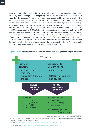**However, with the exponential growth of data, more storage and computing capacity is needed**. Moreover, the use of sophisticated telecoms equipment, infrastructure and mobile devices is also consuming increasing amounts of energy. The new EU Digital Strategy<sup>4</sup> explains that today the ICT sector accounts for 5-9% of electricity use and more than 2% of global greenhouse gas emissions (as much as all air traffic). If unchecked, the footprint could increase to 14% of global emissions by 2040. R&I can be fundamental in the move towards 'green ICT' – i.e. by exploring and creating new ways

of making cloud computing and data centres energy efficient, telecom operations powered by renewables, and by generating smart devices. Figure 5.4-16 is a simplified representation of ICT's potential impact on greenhouse gas emissions. While ICT is an important enabler of green growth (left-hand side), there is also substantial energy consumption by using ICTs and the need to increase computing capacity. Nevertheless, R&I solutions could address some of the pitfalls of digital technologies in terms of environmental impact. This matter is further explored in Chapter 7 - R&I enabling artificial intelligence.





Science, research and innovation performance of the EU 2020

Source: DG Research and Innovation, Chief Economist - R&I Strategy & Foresight Unit based on Global e-Sustainability Initiative (2015) and presentation by Richard Labelle (2014)

Stat. link: https://ec.europa.eu/info/sites/info/files/srip/2020/parti/chapter54/figure-54-16.xlsx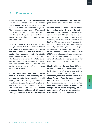# **5. Conclusions**

**Investments in ICT capital remain important within the range of intangible assets for economic growth**, despite a decline in recent years in its contribution to GDP growth. The EU appears to underinvest in ICT compared to the United States, so boosting the levels of investment in ICT equipment and software in Europe seems fundamental to ride the next innovation wave.

**When it comes to the ICT sector, our analysis shows that ICT services in the EU are clearly the largest component within the sector. Moreover, the role of the ICT sector has remained relatively stable over time in the EU**, at around 4% of GDP. The share of employment in the EU's ICT sector has also risen over the last decade. However, the sector appears less R&D intensive, less productive and less active in ICT patenting than other major economies.

**At the same time, this chapter shows that ICT diffusion is not happening at an appropriate rate**. Some countries are still lagging behind in providing their workforces with the right digital skills, or in the uptake of digital technologies by companies of all sizes, and governments. **This calls for further accumulation and diffusion of ICT capital throughout Europe to ensure the adoption**  **of digital technologies that will bring productivity gains across the economy**.

**Another important consideration relates to securing network and information systems**. In fact, securing ICT products and services may probably contribute to fostering their uptake by the market, society which, ultimately, could help the ICT sector in the EU. The EU Cybersecurity plan focuses on five priorities, including achieving cyber- resilience, drastically reducing cybercrime, developing cyberdefence policies and capabilities related to the Common Security and Defence Policy (CSDP), developing industrial and technological resources for cybersecurity, and establishing a coherent international cyberspace policy for the EU and promoting the EU's core values<sup>5</sup>. .

**Finally, while on the one hand ICTs can provide solutions to address climate change** by leading to smart grids, smart buildings and smart cities (to name but a few), **on the other hand, there is a need to reduce ICT's global footprint from the energy-intensive use** of data centres as well as infrastructure for telecommunications. In this context, **investing in R&I to generate solutions for energy-efficient cloud computing, or the optimisation of energy consumption in data centres, can lead to green ICT**.